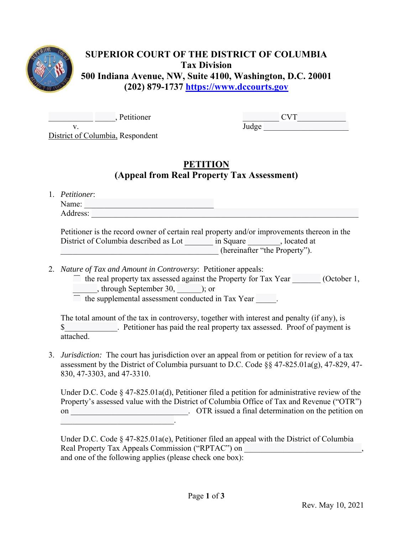

## **SUPERIOR COURT OF THE DISTRICT OF COLUMBIA Tax Division 500 Indiana Avenue, NW, Suite 4100, Washington, D.C. 20001 (202) 879-1737 https://www.dccourts.gov**

. Petitioner and CVT v.

District of Columbia, Respondent

## **PETITION (Appeal from Real Property Tax Assessment)**

1. *Petitioner*: Name: Address:

Petitioner is the record owner of certain real property and/or improvements thereon in the District of Columbia described as Lot in Square in Square at at section of Columbia described as Lot \_\_\_\_\_\_\_\_\_\_\_\_\_\_\_\_\_\_\_\_\_\_\_\_\_\_\_\_\_\_\_\_\_\_\_\_\_\_\_ (hereinafter "the Property").

- 2. *Nature of Tax and Amount in Controversy*: Petitioner appeals:
	- $\Box$  the real property tax assessed against the Property for Tax Year (October 1, \_\_\_\_\_\_, through September 30, \_\_\_\_\_\_); or

 $\Box$  the supplemental assessment conducted in Tax Year  $\Box$ .

The total amount of the tax in controversy, together with interest and penalty (if any), is \$ Petitioner has paid the real property tax assessed. Proof of payment is attached.

3. *Jurisdiction:* The court has jurisdiction over an appeal from or petition for review of a tax assessment by the District of Columbia pursuant to D.C. Code §§ 47-825.01a(g), 47-829, 47- 830, 47-3303, and 47-3310.

Under D.C. Code § 47-825.01a(d), Petitioner filed a petition for administrative review of the Property's assessed value with the District of Columbia Office of Tax and Revenue ("OTR") on on  $\overline{OTR}$  issued a final determination on the petition on  $\mathcal{L}_\text{max}$  and  $\mathcal{L}_\text{max}$  and  $\mathcal{L}_\text{max}$ 

Under D.C. Code § 47-825.01a(e), Petitioner filed an appeal with the District of Columbia Real Property Tax Appeals Commission ("RPTAC") on and one of the following applies (please check one box):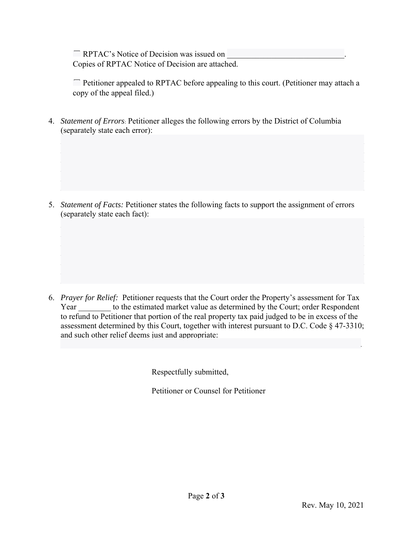$\Gamma$  RPTAC's Notice of Decision was issued on Copies of RPTAC Notice of Decision are attached.

☐ Petitioner appealed to RPTAC before appealing to this court. (Petitioner may attach a copy of the appeal filed.)

4. *Statement of Errors*: Petitioner alleges the following errors by the District of Columbia (separately state each error):

5. *Statement of Facts:* Petitioner states the following facts to support the assignment of errors (separately state each fact):

6. *Prayer for Relief:* Petitioner requests that the Court order the Property's assessment for Tax Year to the estimated market value as determined by the Court; order Respondent to refund to Petitioner that portion of the real property tax paid judged to be in excess of the assessment determined by this Court, together with interest pursuant to D.C. Code § 47-3310; and such other relief deems just and appropriate:

 $\mathcal{L}_\mathcal{L} = \{ \mathcal{L}_\mathcal{L} = \{ \mathcal{L}_\mathcal{L} = \{ \mathcal{L}_\mathcal{L} = \{ \mathcal{L}_\mathcal{L} = \{ \mathcal{L}_\mathcal{L} = \{ \mathcal{L}_\mathcal{L} = \{ \mathcal{L}_\mathcal{L} = \{ \mathcal{L}_\mathcal{L} = \{ \mathcal{L}_\mathcal{L} = \{ \mathcal{L}_\mathcal{L} = \{ \mathcal{L}_\mathcal{L} = \{ \mathcal{L}_\mathcal{L} = \{ \mathcal{L}_\mathcal{L} = \{ \mathcal{L}_\mathcal{$ 

Respectfully submitted,

Petitioner or Counsel for Petitioner